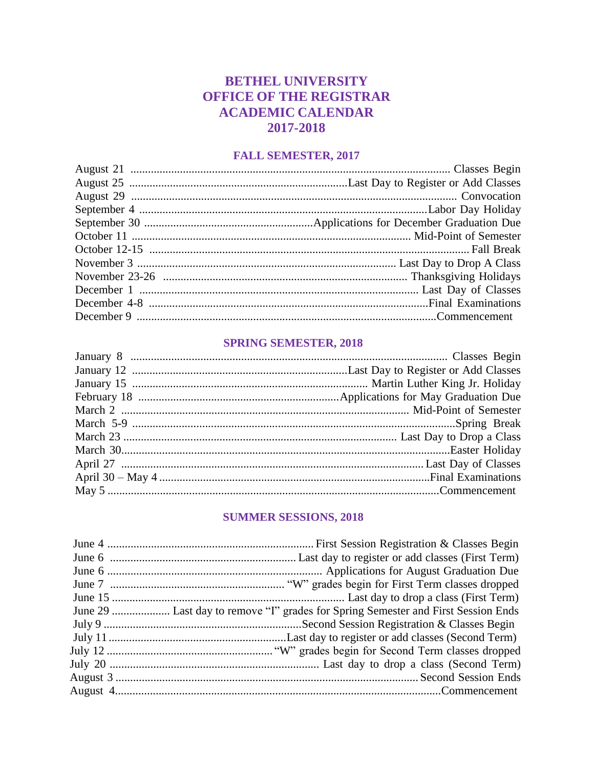### **BETHEL UNIVERSITY OFFICE OF THE REGISTRAR ACADEMIC CALENDAR** 2017-2018

#### **FALL SEMESTER, 2017**

#### **SPRING SEMESTER, 2018**

### **SUMMER SESSIONS, 2018**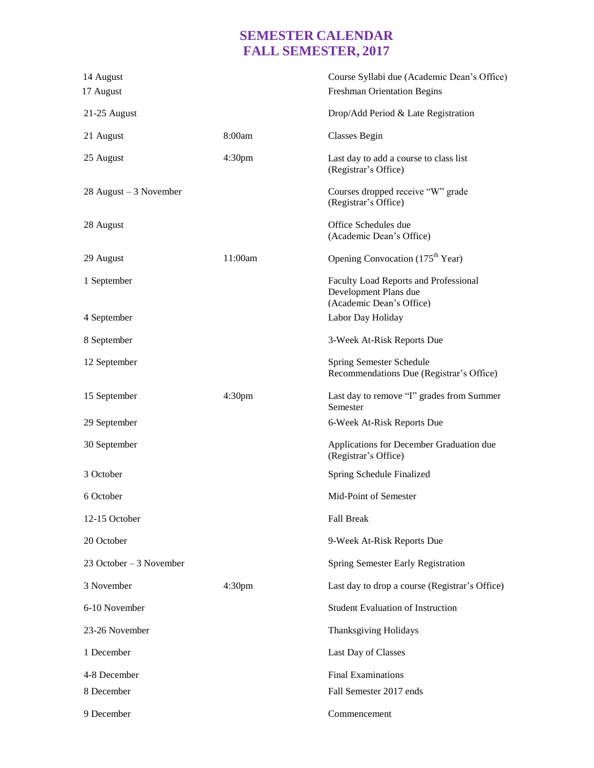# **SEMESTER CALENDAR FALL SEMESTER, 2017**

| 14 August<br>17 August   |                    | Course Syllabi due (Academic Dean's Office)<br><b>Freshman Orientation Begins</b>          |
|--------------------------|--------------------|--------------------------------------------------------------------------------------------|
| 21-25 August             |                    | Drop/Add Period & Late Registration                                                        |
| 21 August                | 8:00am             | Classes Begin                                                                              |
| 25 August                | 4:30 <sub>pm</sub> | Last day to add a course to class list<br>(Registrar's Office)                             |
| $28$ August – 3 November |                    | Courses dropped receive "W" grade<br>(Registrar's Office)                                  |
| 28 August                |                    | Office Schedules due<br>(Academic Dean's Office)                                           |
| 29 August                | 11:00am            | Opening Convocation (175 <sup>th</sup> Year)                                               |
| 1 September              |                    | Faculty Load Reports and Professional<br>Development Plans due<br>(Academic Dean's Office) |
| 4 September              |                    | Labor Day Holiday                                                                          |
| 8 September              |                    | 3-Week At-Risk Reports Due                                                                 |
| 12 September             |                    | Spring Semester Schedule<br>Recommendations Due (Registrar's Office)                       |
| 15 September             | 4:30 <sub>pm</sub> | Last day to remove "I" grades from Summer<br>Semester                                      |
| 29 September             |                    | 6-Week At-Risk Reports Due                                                                 |
| 30 September             |                    | Applications for December Graduation due<br>(Registrar's Office)                           |
| 3 October                |                    | Spring Schedule Finalized                                                                  |
| 6 October                |                    | Mid-Point of Semester                                                                      |
| 12-15 October            |                    | <b>Fall Break</b>                                                                          |
| 20 October               |                    | 9-Week At-Risk Reports Due                                                                 |
| 23 October - 3 November  |                    | Spring Semester Early Registration                                                         |
| 3 November               | 4:30 <sub>pm</sub> | Last day to drop a course (Registrar's Office)                                             |
| 6-10 November            |                    | <b>Student Evaluation of Instruction</b>                                                   |
| 23-26 November           |                    | Thanksgiving Holidays                                                                      |
| 1 December               |                    | Last Day of Classes                                                                        |
| 4-8 December             |                    | <b>Final Examinations</b>                                                                  |
| 8 December               |                    | Fall Semester 2017 ends                                                                    |
| 9 December               |                    | Commencement                                                                               |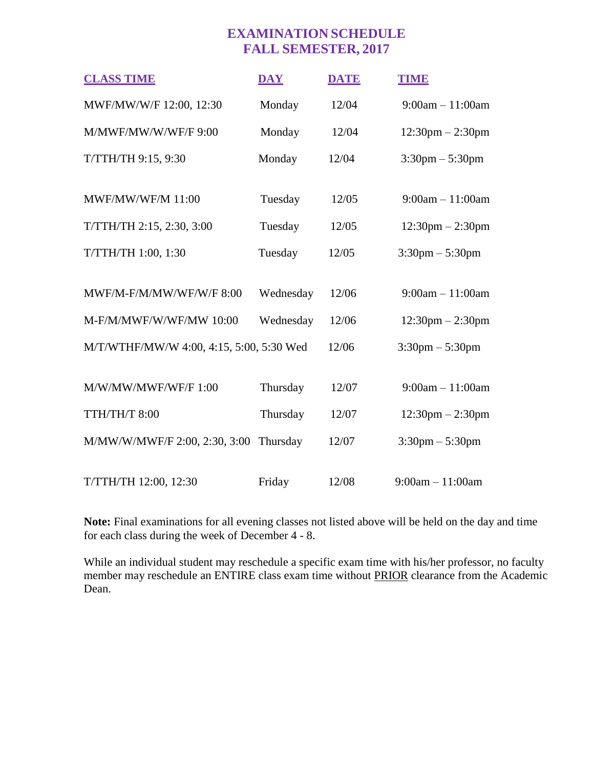## **EXAMINATION SCHEDULE FALL SEMESTER, 2017**

| <b>CLASS TIME</b>                        | <b>DAY</b> | <b>DATE</b> | <b>TIME</b>                        |
|------------------------------------------|------------|-------------|------------------------------------|
| MWF/MW/W/F 12:00, 12:30                  | Monday     | 12/04       | $9:00am - 11:00am$                 |
| M/MWF/MW/W/WF/F 9:00                     | Monday     | 12/04       | $12:30$ pm $- 2:30$ pm             |
| T/TTH/TH 9:15, 9:30                      | Monday     | 12/04       | $3:30 \text{pm} - 5:30 \text{pm}$  |
|                                          |            |             |                                    |
| <b>MWF/MW/WF/M 11:00</b>                 | Tuesday    | 12/05       | $9:00am - 11:00am$                 |
| T/TTH/TH 2:15, 2:30, 3:00                | Tuesday    | 12/05       | $12:30 \text{pm} - 2:30 \text{pm}$ |
| T/TTH/TH 1:00, 1:30                      | Tuesday    | 12/05       | $3:30 \text{pm} - 5:30 \text{pm}$  |
|                                          |            |             |                                    |
| MWF/M-F/M/MW/WF/W/F 8:00                 | Wednesday  | 12/06       | $9:00am - 11:00am$                 |
| M-F/M/MWF/W/WF/MW 10:00                  | Wednesday  | 12/06       | $12:30 \text{pm} - 2:30 \text{pm}$ |
| M/T/WTHF/MW/W 4:00, 4:15, 5:00, 5:30 Wed |            | 12/06       | $3:30 \text{pm} - 5:30 \text{pm}$  |
|                                          |            |             |                                    |
| M/W/MW/MWF/WF/F 1:00                     | Thursday   | 12/07       | $9:00am - 11:00am$                 |
| TTH/TH/T 8:00                            | Thursday   | 12/07       | $12:30$ pm $- 2:30$ pm             |
| M/MW/W/MWF/F 2:00, 2:30, 3:00            | Thursday   | 12/07       | $3:30 \text{pm} - 5:30 \text{pm}$  |
|                                          |            |             |                                    |
| T/TTH/TH 12:00, 12:30                    | Friday     | 12/08       | $9:00am - 11:00am$                 |

**Note:** Final examinations for all evening classes not listed above will be held on the day and time for each class during the week of December 4 - 8.

While an individual student may reschedule a specific exam time with his/her professor, no faculty member may reschedule an ENTIRE class exam time without PRIOR clearance from the Academic Dean.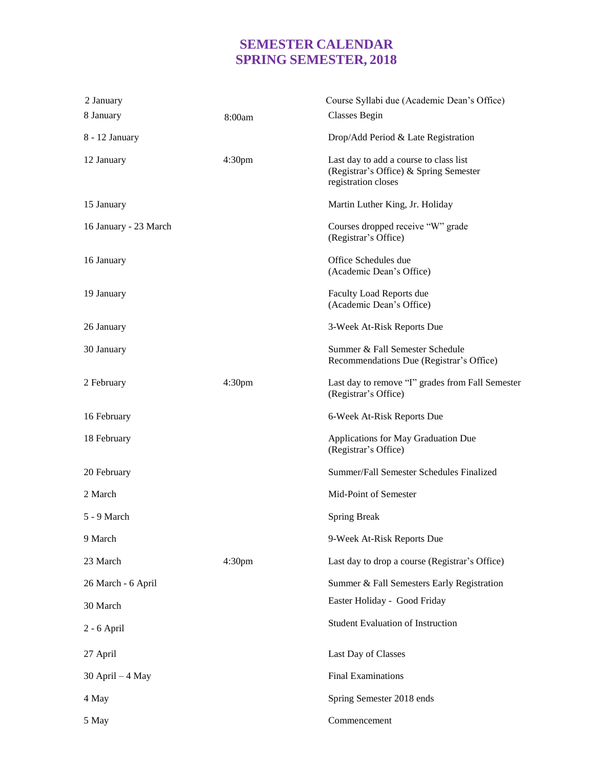## **SEMESTER CALENDAR SPRING SEMESTER, 2018**

| 2 January             |                    | Course Syllabi due (Academic Dean's Office)                                                             |
|-----------------------|--------------------|---------------------------------------------------------------------------------------------------------|
| 8 January             | 8:00am             | Classes Begin                                                                                           |
| 8 - 12 January        |                    | Drop/Add Period & Late Registration                                                                     |
| 12 January            | 4:30 <sub>pm</sub> | Last day to add a course to class list<br>(Registrar's Office) & Spring Semester<br>registration closes |
| 15 January            |                    | Martin Luther King, Jr. Holiday                                                                         |
| 16 January - 23 March |                    | Courses dropped receive "W" grade<br>(Registrar's Office)                                               |
| 16 January            |                    | Office Schedules due<br>(Academic Dean's Office)                                                        |
| 19 January            |                    | Faculty Load Reports due<br>(Academic Dean's Office)                                                    |
| 26 January            |                    | 3-Week At-Risk Reports Due                                                                              |
| 30 January            |                    | Summer & Fall Semester Schedule<br>Recommendations Due (Registrar's Office)                             |
| 2 February            | 4:30 <sub>pm</sub> | Last day to remove "I" grades from Fall Semester<br>(Registrar's Office)                                |
| 16 February           |                    | 6-Week At-Risk Reports Due                                                                              |
| 18 February           |                    | Applications for May Graduation Due<br>(Registrar's Office)                                             |
| 20 February           |                    | Summer/Fall Semester Schedules Finalized                                                                |
| 2 March               |                    | Mid-Point of Semester                                                                                   |
| 5 - 9 March           |                    | <b>Spring Break</b>                                                                                     |
| 9 March               |                    | 9-Week At-Risk Reports Due                                                                              |
| 23 March              | 4:30 <sub>pm</sub> | Last day to drop a course (Registrar's Office)                                                          |
| 26 March - 6 April    |                    | Summer & Fall Semesters Early Registration                                                              |
| 30 March              |                    | Easter Holiday - Good Friday                                                                            |
| $2 - 6$ April         |                    | <b>Student Evaluation of Instruction</b>                                                                |
| 27 April              |                    | Last Day of Classes                                                                                     |
| $30$ April $-4$ May   |                    | <b>Final Examinations</b>                                                                               |
| 4 May                 |                    | Spring Semester 2018 ends                                                                               |
| 5 May                 |                    | Commencement                                                                                            |